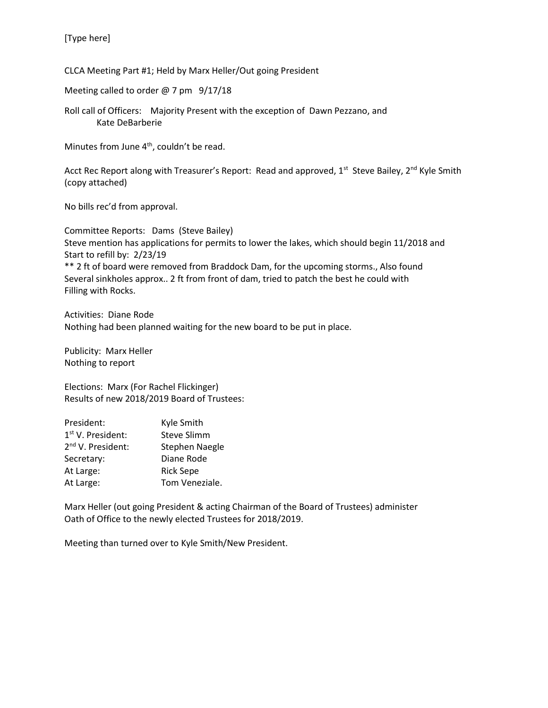CLCA Meeting Part #1; Held by Marx Heller/Out going President

Meeting called to order @ 7 pm 9/17/18

Roll call of Officers: Majority Present with the exception of Dawn Pezzano, and Kate DeBarberie

Minutes from June 4<sup>th</sup>, couldn't be read.

Acct Rec Report along with Treasurer's Report: Read and approved, 1<sup>st</sup> Steve Bailey, 2<sup>nd</sup> Kyle Smith (copy attached)

No bills rec'd from approval.

Committee Reports: Dams (Steve Bailey) Steve mention has applications for permits to lower the lakes, which should begin 11/2018 and Start to refill by: 2/23/19 \*\* 2 ft of board were removed from Braddock Dam, for the upcoming storms., Also found Several sinkholes approx.. 2 ft from front of dam, tried to patch the best he could with Filling with Rocks.

Activities: Diane Rode Nothing had been planned waiting for the new board to be put in place.

Publicity: Marx Heller Nothing to report

Elections: Marx (For Rachel Flickinger) Results of new 2018/2019 Board of Trustees:

| President:                    | Kyle Smith            |
|-------------------------------|-----------------------|
| 1 <sup>st</sup> V. President: | <b>Steve Slimm</b>    |
| 2 <sup>nd</sup> V. President: | <b>Stephen Naegle</b> |
| Secretary:                    | Diane Rode            |
| At Large:                     | <b>Rick Sepe</b>      |
| At Large:                     | Tom Veneziale.        |

Marx Heller (out going President & acting Chairman of the Board of Trustees) administer Oath of Office to the newly elected Trustees for 2018/2019.

Meeting than turned over to Kyle Smith/New President.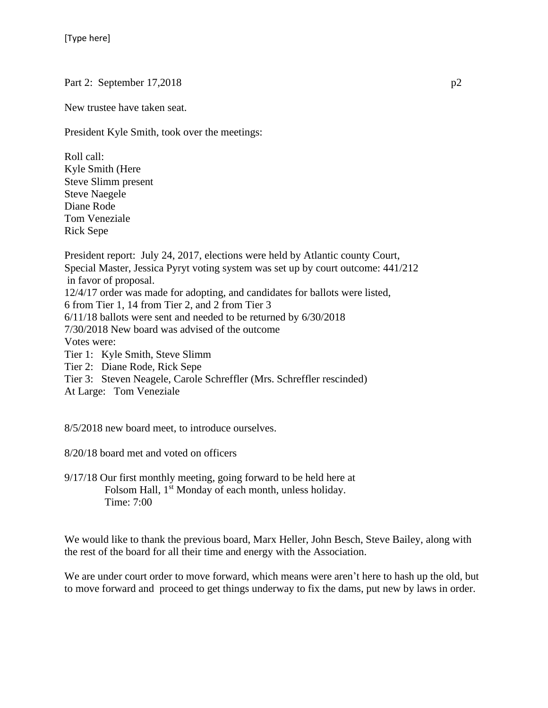Part 2: September 17,2018 p2

New trustee have taken seat.

President Kyle Smith, took over the meetings:

Roll call: Kyle Smith (Here Steve Slimm present Steve Naegele Diane Rode Tom Veneziale Rick Sepe

President report: July 24, 2017, elections were held by Atlantic county Court, Special Master, Jessica Pyryt voting system was set up by court outcome: 441/212 in favor of proposal. 12/4/17 order was made for adopting, and candidates for ballots were listed, 6 from Tier 1, 14 from Tier 2, and 2 from Tier 3 6/11/18 ballots were sent and needed to be returned by 6/30/2018 7/30/2018 New board was advised of the outcome Votes were: Tier 1: Kyle Smith, Steve Slimm

Tier 2: Diane Rode, Rick Sepe

Tier 3: Steven Neagele, Carole Schreffler (Mrs. Schreffler rescinded)

At Large: Tom Veneziale

8/5/2018 new board meet, to introduce ourselves.

8/20/18 board met and voted on officers

9/17/18 Our first monthly meeting, going forward to be held here at Folsom Hall, 1<sup>st</sup> Monday of each month, unless holiday. Time: 7:00

We would like to thank the previous board, Marx Heller, John Besch, Steve Bailey, along with the rest of the board for all their time and energy with the Association.

We are under court order to move forward, which means were aren't here to hash up the old, but to move forward and proceed to get things underway to fix the dams, put new by laws in order.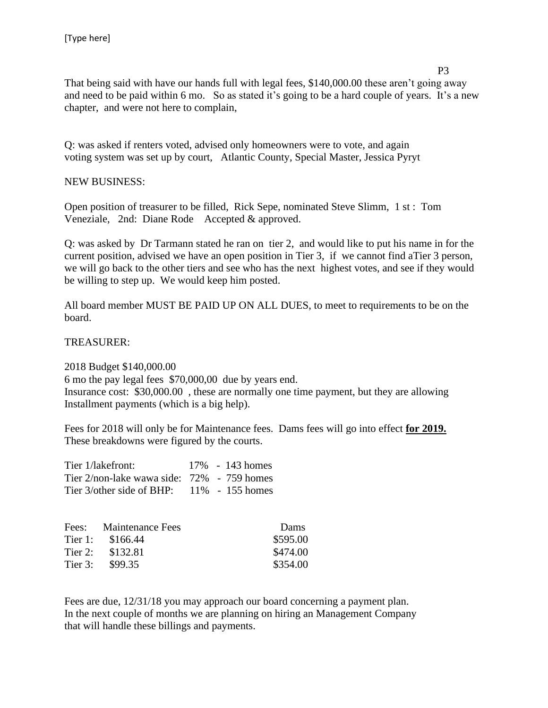P3 That being said with have our hands full with legal fees, \$140,000.00 these aren't going away and need to be paid within 6 mo. So as stated it's going to be a hard couple of years. It's a new chapter, and were not here to complain,

Q: was asked if renters voted, advised only homeowners were to vote, and again voting system was set up by court, Atlantic County, Special Master, Jessica Pyryt

## NEW BUSINESS:

Open position of treasurer to be filled, Rick Sepe, nominated Steve Slimm, 1 st : Tom Veneziale, 2nd: Diane Rode Accepted & approved.

Q: was asked by Dr Tarmann stated he ran on tier 2, and would like to put his name in for the current position, advised we have an open position in Tier 3, if we cannot find aTier 3 person, we will go back to the other tiers and see who has the next highest votes, and see if they would be willing to step up. We would keep him posted.

All board member MUST BE PAID UP ON ALL DUES, to meet to requirements to be on the board.

TREASURER:

2018 Budget \$140,000.00 6 mo the pay legal fees \$70,000,00 due by years end. Insurance cost: \$30,000.00 , these are normally one time payment, but they are allowing Installment payments (which is a big help).

Fees for 2018 will only be for Maintenance fees. Dams fees will go into effect **for 2019.** These breakdowns were figured by the courts.

| Tier 1/lakefront:                                |  | $17\% - 143$ homes |
|--------------------------------------------------|--|--------------------|
| Tier $2$ /non-lake wawa side: $72\%$ - 759 homes |  |                    |
| Tier $3$ /other side of BHP: $11\%$ - 155 homes  |  |                    |

|         | Fees: Maintenance Fees | Dams     |
|---------|------------------------|----------|
| Tier 1: | \$166.44               | \$595.00 |
| Tier 2: | \$132.81               | \$474.00 |
| Tier 3: | \$99.35                | \$354.00 |

Fees are due, 12/31/18 you may approach our board concerning a payment plan. In the next couple of months we are planning on hiring an Management Company that will handle these billings and payments.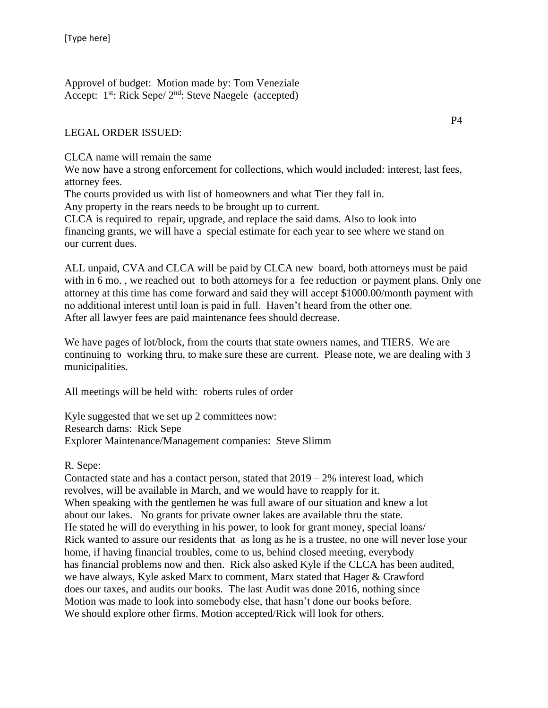Approvel of budget: Motion made by: Tom Veneziale Accept:  $1^{st}$ : Rick Sepe/  $2^{nd}$ : Steve Naegele (accepted)

# LEGAL ORDER ISSUED:

CLCA name will remain the same

We now have a strong enforcement for collections, which would included: interest, last fees, attorney fees.

The courts provided us with list of homeowners and what Tier they fall in.

Any property in the rears needs to be brought up to current.

CLCA is required to repair, upgrade, and replace the said dams. Also to look into financing grants, we will have a special estimate for each year to see where we stand on our current dues.

ALL unpaid, CVA and CLCA will be paid by CLCA new board, both attorneys must be paid with in 6 mo., we reached out to both attorneys for a fee reduction or payment plans. Only one attorney at this time has come forward and said they will accept \$1000.00/month payment with no additional interest until loan is paid in full. Haven't heard from the other one. After all lawyer fees are paid maintenance fees should decrease.

We have pages of lot/block, from the courts that state owners names, and TIERS. We are continuing to working thru, to make sure these are current. Please note, we are dealing with 3 municipalities.

All meetings will be held with: roberts rules of order

Kyle suggested that we set up 2 committees now: Research dams: Rick Sepe Explorer Maintenance/Management companies: Steve Slimm

R. Sepe:

Contacted state and has a contact person, stated that  $2019 - 2\%$  interest load, which revolves, will be available in March, and we would have to reapply for it. When speaking with the gentlemen he was full aware of our situation and knew a lot about our lakes. No grants for private owner lakes are available thru the state. He stated he will do everything in his power, to look for grant money, special loans/ Rick wanted to assure our residents that as long as he is a trustee, no one will never lose your home, if having financial troubles, come to us, behind closed meeting, everybody has financial problems now and then. Rick also asked Kyle if the CLCA has been audited, we have always, Kyle asked Marx to comment, Marx stated that Hager & Crawford does our taxes, and audits our books. The last Audit was done 2016, nothing since Motion was made to look into somebody else, that hasn't done our books before. We should explore other firms. Motion accepted/Rick will look for others.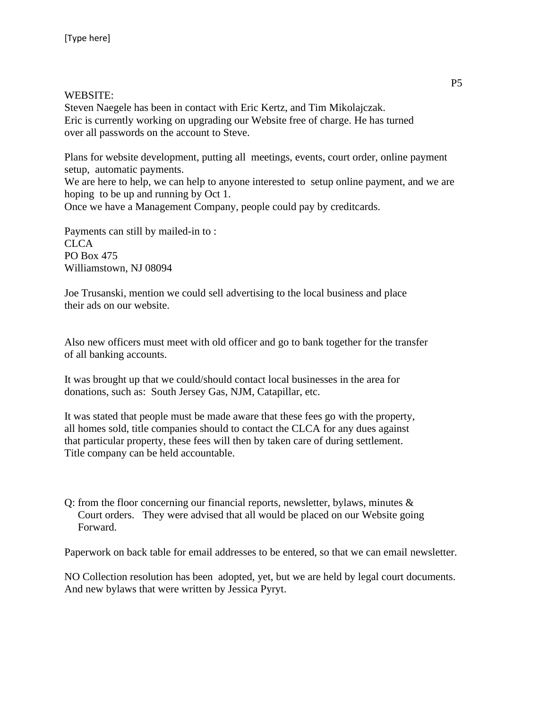#### WEBSITE:

Steven Naegele has been in contact with Eric Kertz, and Tim Mikolajczak. Eric is currently working on upgrading our Website free of charge. He has turned over all passwords on the account to Steve.

Plans for website development, putting all meetings, events, court order, online payment setup, automatic payments.

We are here to help, we can help to anyone interested to setup online payment, and we are hoping to be up and running by Oct 1.

Once we have a Management Company, people could pay by creditcards.

Payments can still by mailed-in to : CLCA PO Box 475 Williamstown, NJ 08094

Joe Trusanski, mention we could sell advertising to the local business and place their ads on our website.

Also new officers must meet with old officer and go to bank together for the transfer of all banking accounts.

It was brought up that we could/should contact local businesses in the area for donations, such as: South Jersey Gas, NJM, Catapillar, etc.

It was stated that people must be made aware that these fees go with the property, all homes sold, title companies should to contact the CLCA for any dues against that particular property, these fees will then by taken care of during settlement. Title company can be held accountable.

Q: from the floor concerning our financial reports, newsletter, bylaws, minutes  $\&$  Court orders. They were advised that all would be placed on our Website going Forward.

Paperwork on back table for email addresses to be entered, so that we can email newsletter.

NO Collection resolution has been adopted, yet, but we are held by legal court documents. And new bylaws that were written by Jessica Pyryt.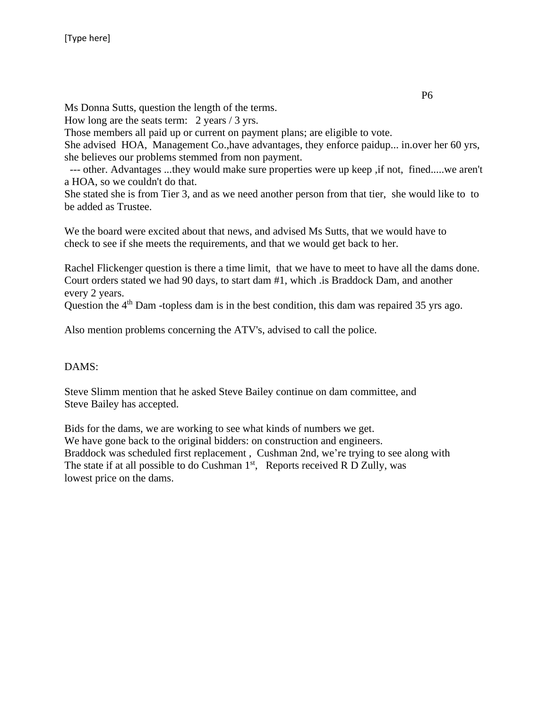Ms Donna Sutts, question the length of the terms.

How long are the seats term: 2 years / 3 yrs.

Those members all paid up or current on payment plans; are eligible to vote.

She advised HOA, Management Co.,have advantages, they enforce paidup... in.over her 60 yrs, she believes our problems stemmed from non payment.

--- other. Advantages ...they would make sure properties were up keep ,if not, fined.....we aren't a HOA, so we couldn't do that.

She stated she is from Tier 3, and as we need another person from that tier, she would like to to be added as Trustee.

We the board were excited about that news, and advised Ms Sutts, that we would have to check to see if she meets the requirements, and that we would get back to her.

Rachel Flickenger question is there a time limit, that we have to meet to have all the dams done. Court orders stated we had 90 days, to start dam #1, which .is Braddock Dam, and another every 2 years.

Question the 4<sup>th</sup> Dam -topless dam is in the best condition, this dam was repaired 35 yrs ago.

Also mention problems concerning the ATV's, advised to call the police.

#### DAMS:

Steve Slimm mention that he asked Steve Bailey continue on dam committee, and Steve Bailey has accepted.

Bids for the dams, we are working to see what kinds of numbers we get. We have gone back to the original bidders: on construction and engineers. Braddock was scheduled first replacement , Cushman 2nd, we're trying to see along with The state if at all possible to do Cushman  $1<sup>st</sup>$ , Reports received R D Zully, was lowest price on the dams.